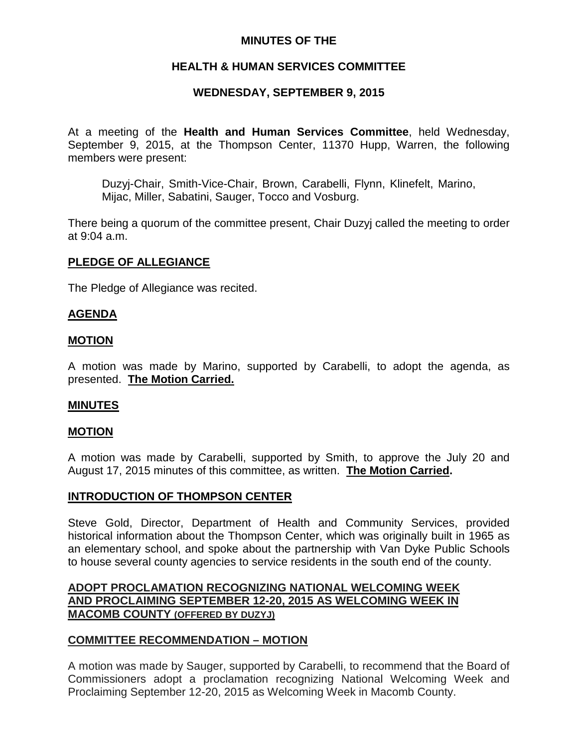# **MINUTES OF THE**

# **HEALTH & HUMAN SERVICES COMMITTEE**

## **WEDNESDAY, SEPTEMBER 9, 2015**

At a meeting of the **Health and Human Services Committee**, held Wednesday, September 9, 2015, at the Thompson Center, 11370 Hupp, Warren, the following members were present:

Duzyj-Chair, Smith-Vice-Chair, Brown, Carabelli, Flynn, Klinefelt, Marino, Mijac, Miller, Sabatini, Sauger, Tocco and Vosburg.

There being a quorum of the committee present, Chair Duzyj called the meeting to order at 9:04 a.m.

## **PLEDGE OF ALLEGIANCE**

The Pledge of Allegiance was recited.

## **AGENDA**

### **MOTION**

A motion was made by Marino, supported by Carabelli, to adopt the agenda, as presented. **The Motion Carried.**

#### **MINUTES**

## **MOTION**

A motion was made by Carabelli, supported by Smith, to approve the July 20 and August 17, 2015 minutes of this committee, as written. **The Motion Carried.**

#### **INTRODUCTION OF THOMPSON CENTER**

Steve Gold, Director, Department of Health and Community Services, provided historical information about the Thompson Center, which was originally built in 1965 as an elementary school, and spoke about the partnership with Van Dyke Public Schools to house several county agencies to service residents in the south end of the county.

# **ADOPT PROCLAMATION RECOGNIZING NATIONAL WELCOMING WEEK AND PROCLAIMING SEPTEMBER 12-20, 2015 AS WELCOMING WEEK IN MACOMB COUNTY (OFFERED BY DUZYJ)**

## **COMMITTEE RECOMMENDATION – MOTION**

A motion was made by Sauger, supported by Carabelli, to recommend that the Board of Commissioners adopt a proclamation recognizing National Welcoming Week and Proclaiming September 12-20, 2015 as Welcoming Week in Macomb County.